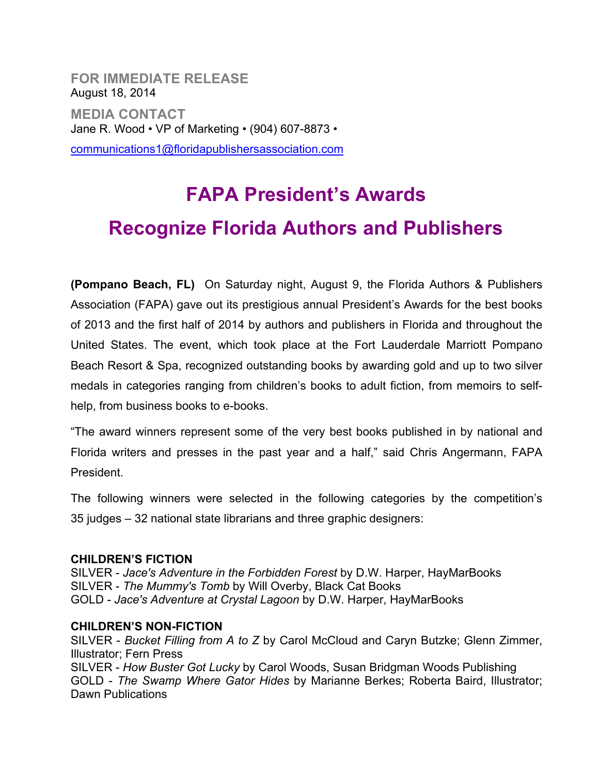**FOR IMMEDIATE RELEASE** August 18, 2014 **MEDIA CONTACT** Jane R. Wood • VP of Marketing • (904) 607-8873 •

communications1@floridapublishersassociation.com

# **FAPA President's Awards Recognize Florida Authors and Publishers**

**(Pompano Beach, FL)** On Saturday night, August 9, the Florida Authors & Publishers Association (FAPA) gave out its prestigious annual President's Awards for the best books of 2013 and the first half of 2014 by authors and publishers in Florida and throughout the United States. The event, which took place at the Fort Lauderdale Marriott Pompano Beach Resort & Spa, recognized outstanding books by awarding gold and up to two silver medals in categories ranging from children's books to adult fiction, from memoirs to selfhelp, from business books to e-books.

"The award winners represent some of the very best books published in by national and Florida writers and presses in the past year and a half," said Chris Angermann, FAPA President.

The following winners were selected in the following categories by the competition's 35 judges – 32 national state librarians and three graphic designers:

### **CHILDREN'S FICTION**

SILVER - *Jace's Adventure in the Forbidden Forest* by D.W. Harper, HayMarBooks SILVER - *The Mummy's Tomb* by Will Overby, Black Cat Books GOLD - *Jace's Adventure at Crystal Lagoon* by D.W. Harper, HayMarBooks

### **CHILDREN'S NON-FICTION**

SILVER - *Bucket Filling from A to Z* by Carol McCloud and Caryn Butzke; Glenn Zimmer, Illustrator; Fern Press SILVER - *How Buster Got Lucky* by Carol Woods, Susan Bridgman Woods Publishing GOLD - *The Swamp Where Gator Hides* by Marianne Berkes; Roberta Baird, Illustrator; Dawn Publications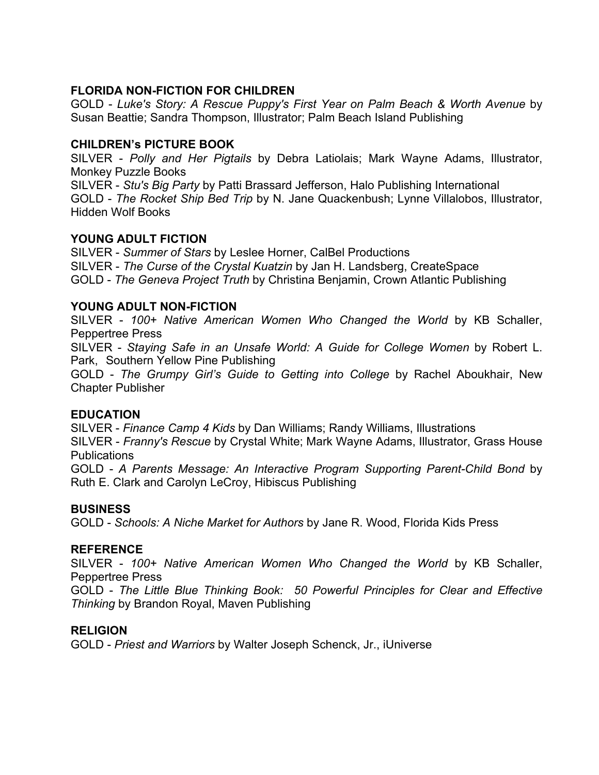# **FLORIDA NON-FICTION FOR CHILDREN**

GOLD - *Luke's Story: A Rescue Puppy's First Year on Palm Beach & Worth Avenue* by Susan Beattie; Sandra Thompson, Illustrator; Palm Beach Island Publishing

#### **CHILDREN's PICTURE BOOK**

SILVER - *Polly and Her Pigtails* by Debra Latiolais; Mark Wayne Adams, Illustrator, Monkey Puzzle Books

SILVER - *Stu's Big Party* by Patti Brassard Jefferson, Halo Publishing International GOLD - *The Rocket Ship Bed Trip* by N. Jane Quackenbush; Lynne Villalobos, Illustrator, Hidden Wolf Books

### **YOUNG ADULT FICTION**

SILVER - *Summer of Stars* by Leslee Horner, CalBel Productions SILVER - *The Curse of the Crystal Kuatzin* by Jan H. Landsberg, CreateSpace GOLD - *The Geneva Project Truth* by Christina Benjamin, Crown Atlantic Publishing

#### **YOUNG ADULT NON-FICTION**

SILVER - *100+ Native American Women Who Changed the World* by KB Schaller, Peppertree Press

SILVER - *Staying Safe in an Unsafe World: A Guide for College Women* by Robert L. Park, Southern Yellow Pine Publishing

GOLD - *The Grumpy Girl's Guide to Getting into College* by Rachel Aboukhair, New Chapter Publisher

### **EDUCATION**

SILVER - *Finance Camp 4 Kids* by Dan Williams; Randy Williams, Illustrations SILVER - *Franny's Rescue* by Crystal White; Mark Wayne Adams, Illustrator, Grass House Publications

GOLD - *A Parents Message: An Interactive Program Supporting Parent-Child Bond* by Ruth E. Clark and Carolyn LeCroy, Hibiscus Publishing

#### **BUSINESS**

GOLD - *Schools: A Niche Market for Authors* by Jane R. Wood, Florida Kids Press

#### **REFERENCE**

SILVER - *100+ Native American Women Who Changed the World* by KB Schaller, Peppertree Press

GOLD - *The Little Blue Thinking Book: 50 Powerful Principles for Clear and Effective Thinking* by Brandon Royal, Maven Publishing

#### **RELIGION**

GOLD - *Priest and Warriors* by Walter Joseph Schenck, Jr., iUniverse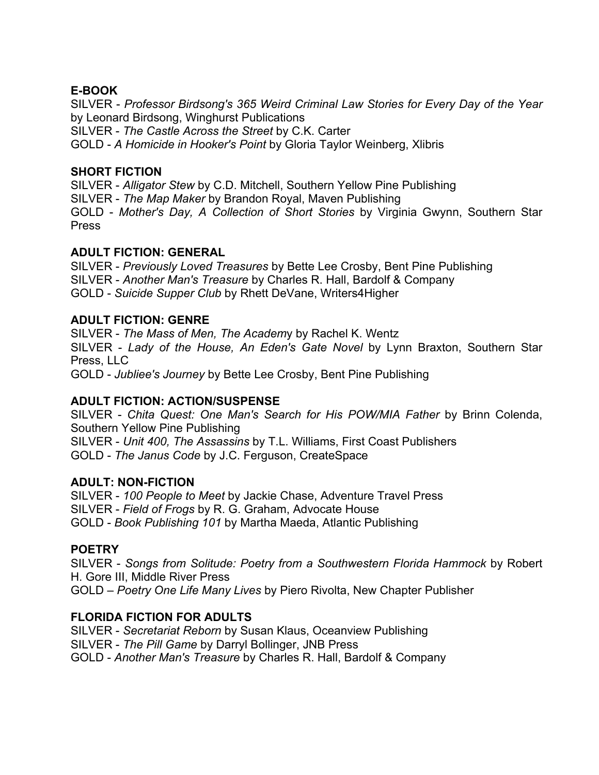# **E-BOOK**

SILVER - *Professor Birdsong's 365 Weird Criminal Law Stories for Every Day of the Year* by Leonard Birdsong, Winghurst Publications SILVER - *The Castle Across the Street* by C.K. Carter GOLD - *A Homicide in Hooker's Point* by Gloria Taylor Weinberg, Xlibris

## **SHORT FICTION**

SILVER - *Alligator Stew* by C.D. Mitchell, Southern Yellow Pine Publishing SILVER - *The Map Maker* by Brandon Royal, Maven Publishing GOLD - *Mother's Day, A Collection of Short Stories* by Virginia Gwynn, Southern Star Press

# **ADULT FICTION: GENERAL**

SILVER - *Previously Loved Treasures* by Bette Lee Crosby, Bent Pine Publishing SILVER - *Another Man's Treasure* by Charles R. Hall, Bardolf & Company GOLD - *Suicide Supper Club* by Rhett DeVane, Writers4Higher

# **ADULT FICTION: GENRE**

SILVER - *The Mass of Men, The Academ*y by Rachel K. Wentz SILVER - *Lady of the House, An Eden's Gate Novel* by Lynn Braxton, Southern Star Press, LLC GOLD - *Jubliee's Journey* by Bette Lee Crosby, Bent Pine Publishing

# **ADULT FICTION: ACTION/SUSPENSE**

SILVER - *Chita Quest: One Man's Search for His POW/MIA Father* by Brinn Colenda, Southern Yellow Pine Publishing SILVER - *Unit 400, The Assassins* by T.L. Williams, First Coast Publishers GOLD - *The Janus Code* by J.C. Ferguson, CreateSpace

# **ADULT: NON-FICTION**

SILVER - *100 People to Meet* by Jackie Chase, Adventure Travel Press SILVER - *Field of Frogs* by R. G. Graham, Advocate House GOLD - *Book Publishing 101* by Martha Maeda, Atlantic Publishing

# **POETRY**

SILVER - *Songs from Solitude: Poetry from a Southwestern Florida Hammock* by Robert H. Gore III, Middle River Press

GOLD – *Poetry One Life Many Lives* by Piero Rivolta, New Chapter Publisher

# **FLORIDA FICTION FOR ADULTS**

SILVER - *Secretariat Reborn* by Susan Klaus, Oceanview Publishing SILVER - *The Pill Game* by Darryl Bollinger, JNB Press GOLD - *Another Man's Treasure* by Charles R. Hall, Bardolf & Company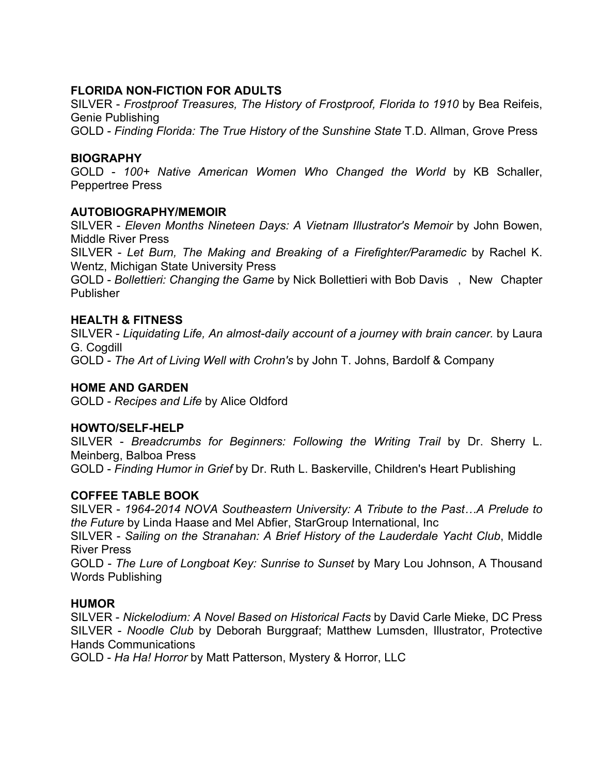# **FLORIDA NON-FICTION FOR ADULTS**

SILVER - *Frostproof Treasures, The History of Frostproof, Florida to 1910* by Bea Reifeis, Genie Publishing

GOLD - *Finding Florida: The True History of the Sunshine State* T.D. Allman, Grove Press

# **BIOGRAPHY**

GOLD - *100+ Native American Women Who Changed the World* by KB Schaller, Peppertree Press

## **AUTOBIOGRAPHY/MEMOIR**

SILVER - *Eleven Months Nineteen Days: A Vietnam Illustrator's Memoir* by John Bowen, Middle River Press

SILVER - *Let Burn, The Making and Breaking of a Firefighter/Paramedic* by Rachel K. Wentz, Michigan State University Press

GOLD - *Bollettieri: Changing the Game* by Nick Bollettieri with Bob Davis , New Chapter Publisher

## **HEALTH & FITNESS**

SILVER - *Liquidating Life, An almost-daily account of a journey with brain cancer.* by Laura G. Cogdill GOLD - *The Art of Living Well with Crohn's* by John T. Johns, Bardolf & Company

### **HOME AND GARDEN**

GOLD - *Recipes and Life* by Alice Oldford

### **HOWTO/SELF-HELP**

SILVER - *Breadcrumbs for Beginners: Following the Writing Trail* by Dr. Sherry L. Meinberg, Balboa Press

GOLD - *Finding Humor in Grief* by Dr. Ruth L. Baskerville, Children's Heart Publishing

# **COFFEE TABLE BOOK**

SILVER - *1964-2014 NOVA Southeastern University: A Tribute to the Past…A Prelude to the Future* by Linda Haase and Mel Abfier, StarGroup International, Inc

SILVER - *Sailing on the Stranahan: A Brief History of the Lauderdale Yacht Club*, Middle River Press

GOLD - *The Lure of Longboat Key: Sunrise to Sunset* by Mary Lou Johnson, A Thousand Words Publishing

# **HUMOR**

SILVER - *Nickelodium: A Novel Based on Historical Facts* by David Carle Mieke, DC Press SILVER - *Noodle Club* by Deborah Burggraaf; Matthew Lumsden, Illustrator, Protective Hands Communications

GOLD - *Ha Ha! Horror* by Matt Patterson, Mystery & Horror, LLC